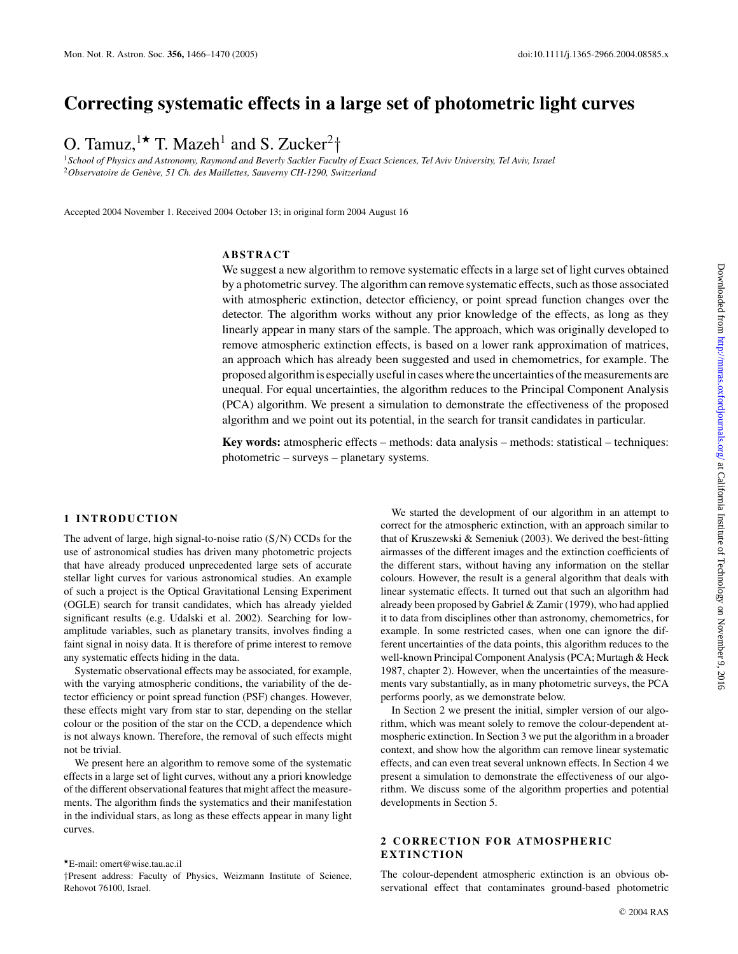# **Correcting systematic effects in a large set of photometric light curves**

**O. Tamuz, <sup>1** $\star$ **</sup> T. Mazeh<sup>1</sup> and S. Zucker<sup>2</sup>†<br><sup>1</sup>School of Physics and Astronomy, Raymond and Beverly Sackler Faculty of Exact Sciences, Tel Aviv University, Tel Aviv, Israel** 

<sup>2</sup>*Observatoire de Geneve, 51 Ch. des Maillettes, Sauverny CH-1290, Switzerland `*

Accepted 2004 November 1. Received 2004 October 13; in original form 2004 August 16

#### **ABSTRACT**

We suggest a new algorithm to remove systematic effects in a large set of light curves obtained by a photometric survey. The algorithm can remove systematic effects, such as those associated with atmospheric extinction, detector efficiency, or point spread function changes over the detector. The algorithm works without any prior knowledge of the effects, as long as they linearly appear in many stars of the sample. The approach, which was originally developed to remove atmospheric extinction effects, is based on a lower rank approximation of matrices, an approach which has already been suggested and used in chemometrics, for example. The proposed algorithm is especially useful in cases where the uncertainties of the measurements are unequal. For equal uncertainties, the algorithm reduces to the Principal Component Analysis (PCA) algorithm. We present a simulation to demonstrate the effectiveness of the proposed algorithm and we point out its potential, in the search for transit candidates in particular.

**Key words:** atmospheric effects – methods: data analysis – methods: statistical – techniques: photometric – surveys – planetary systems.

## **1 INTRODUCTION**

The advent of large, high signal-to-noise ratio  $(S/N)$  CCDs for the use of astronomical studies has driven many photometric projects that have already produced unprecedented large sets of accurate stellar light curves for various astronomical studies. An example of such a project is the Optical Gravitational Lensing Experiment (OGLE) search for transit candidates, which has already yielded significant results (e.g. Udalski et al. 2002). Searching for lowamplitude variables, such as planetary transits, involves finding a faint signal in noisy data. It is therefore of prime interest to remove any systematic effects hiding in the data.

Systematic observational effects may be associated, for example, with the varying atmospheric conditions, the variability of the detector efficiency or point spread function (PSF) changes. However, these effects might vary from star to star, depending on the stellar colour or the position of the star on the CCD, a dependence which is not always known. Therefore, the removal of such effects might not be trivial.

We present here an algorithm to remove some of the systematic effects in a large set of light curves, without any a priori knowledge of the different observational features that might affect the measurements. The algorithm finds the systematics and their manifestation in the individual stars, as long as these effects appear in many light curves.

E-mail: omert@wise.tau.ac.il

†Present address: Faculty of Physics, Weizmann Institute of Science, Rehovot 76100, Israel.

We started the development of our algorithm in an attempt to correct for the atmospheric extinction, with an approach similar to that of Kruszewski & Semeniuk (2003). We derived the best-fitting airmasses of the different images and the extinction coefficients of the different stars, without having any information on the stellar colours. However, the result is a general algorithm that deals with linear systematic effects. It turned out that such an algorithm had already been proposed by Gabriel & Zamir (1979), who had applied it to data from disciplines other than astronomy, chemometrics, for example. In some restricted cases, when one can ignore the different uncertainties of the data points, this algorithm reduces to the well-known Principal Component Analysis (PCA; Murtagh & Heck 1987, chapter 2). However, when the uncertainties of the measurements vary substantially, as in many photometric surveys, the PCA performs poorly, as we demonstrate below.

In Section 2 we present the initial, simpler version of our algorithm, which was meant solely to remove the colour-dependent atmospheric extinction. In Section 3 we put the algorithm in a broader context, and show how the algorithm can remove linear systematic effects, and can even treat several unknown effects. In Section 4 we present a simulation to demonstrate the effectiveness of our algorithm. We discuss some of the algorithm properties and potential developments in Section 5.

# **2 CORRECTION FOR ATMOSPHERIC EXTINCTION**

The colour-dependent atmospheric extinction is an obvious observational effect that contaminates ground-based photometric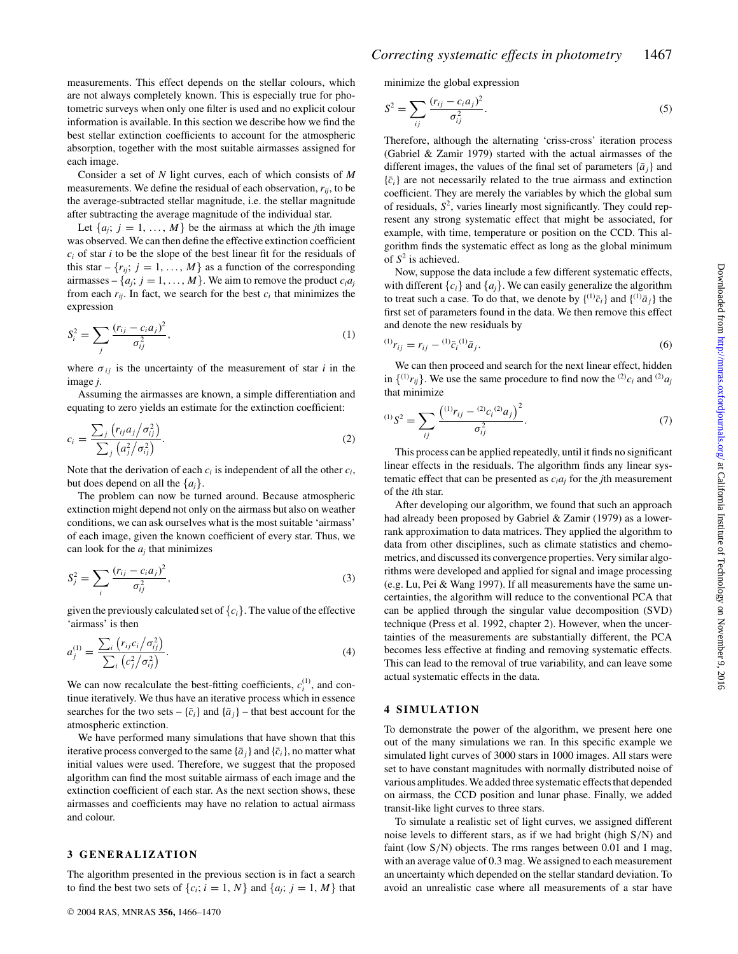measurements. This effect depends on the stellar colours, which are not always completely known. This is especially true for photometric surveys when only one filter is used and no explicit colour information is available. In this section we describe how we find the best stellar extinction coefficients to account for the atmospheric absorption, together with the most suitable airmasses assigned for each image.

Consider a set of *N* light curves, each of which consists of *M* measurements. We define the residual of each observation,  $r_{ii}$ , to be the average-subtracted stellar magnitude, i.e. the stellar magnitude after subtracting the average magnitude of the individual star.

Let  $\{a_i; j = 1, \ldots, M\}$  be the airmass at which the *j*th image was observed. We can then define the effective extinction coefficient *ci* of star *i* to be the slope of the best linear fit for the residuals of this star –  ${r_{ij}}$ ;  $j = 1, ..., M$  as a function of the corresponding airmasses –  $\{a_j; j = 1, \ldots, M\}$ . We aim to remove the product  $c_i a_j$ from each  $r_{ij}$ . In fact, we search for the best  $c_i$  that minimizes the expression

$$
S_i^2 = \sum_j \frac{(r_{ij} - c_i a_j)^2}{\sigma_{ij}^2},
$$
\n(1)

where  $\sigma_{ij}$  is the uncertainty of the measurement of star *i* in the image *j*.

Assuming the airmasses are known, a simple differentiation and equating to zero yields an estimate for the extinction coefficient:

$$
c_i = \frac{\sum_j (r_{ij} a_j / \sigma_{ij}^2)}{\sum_j (a_j^2 / \sigma_{ij}^2)}.
$$
\n(2)

Note that the derivation of each  $c_i$  is independent of all the other  $c_i$ , but does depend on all the  $\{a_i\}$ .

The problem can now be turned around. Because atmospheric extinction might depend not only on the airmass but also on weather conditions, we can ask ourselves what is the most suitable 'airmass' of each image, given the known coefficient of every star. Thus, we can look for the  $a_i$  that minimizes

$$
S_j^2 = \sum_i \frac{(r_{ij} - c_i a_j)^2}{\sigma_{ij}^2},
$$
\n(3)

given the previously calculated set of  ${c_i}$ . The value of the effective 'airmass' is then

$$
a_j^{(1)} = \frac{\sum_i (r_{ij}c_i/\sigma_{ij}^2)}{\sum_i (c_j^2/\sigma_{ij}^2)}.
$$
\n(4)

We can now recalculate the best-fitting coefficients,  $c_i^{(1)}$ , and continue iteratively. We thus have an iterative process which in essence searches for the two sets –  $\{\bar{c}_i\}$  and  $\{\bar{a}_i\}$  – that best account for the atmospheric extinction.

We have performed many simulations that have shown that this iterative process converged to the same  $\{\bar{a}_i\}$  and  $\{\bar{c}_i\}$ , no matter what initial values were used. Therefore, we suggest that the proposed algorithm can find the most suitable airmass of each image and the extinction coefficient of each star. As the next section shows, these airmasses and coefficients may have no relation to actual airmass and colour.

#### **3 GENERALIZATION**

The algorithm presented in the previous section is in fact a search to find the best two sets of  $\{c_i; i = 1, N\}$  and  $\{a_j; j = 1, M\}$  that minimize the global expression

$$
S^{2} = \sum_{ij} \frac{(r_{ij} - c_{i}a_{j})^{2}}{\sigma_{ij}^{2}}.
$$
 (5)

Therefore, although the alternating 'criss-cross' iteration process (Gabriel & Zamir 1979) started with the actual airmasses of the different images, the values of the final set of parameters  $\{\bar{a}_i\}$  and  ${\bar{c}}_i$ } are not necessarily related to the true airmass and extinction coefficient. They are merely the variables by which the global sum of residuals, *S*2, varies linearly most significantly. They could represent any strong systematic effect that might be associated, for example, with time, temperature or position on the CCD. This algorithm finds the systematic effect as long as the global minimum of *S*<sup>2</sup> is achieved.

Now, suppose the data include a few different systematic effects, with different  $\{c_i\}$  and  $\{a_i\}$ . We can easily generalize the algorithm to treat such a case. To do that, we denote by  $\{^{(1)}\bar{c}_i\}$  and  $\{^{(1)}\bar{a}_j\}$  the first set of parameters found in the data. We then remove this effect and denote the new residuals by

$$
^{(1)}r_{ij} = r_{ij} - ^{(1)}\bar{c}_i {}^{(1)}\bar{a}_j.
$$
 (6)

We can then proceed and search for the next linear effect, hidden in  $\{^{(1)}r_{ii}\}$ . We use the same procedure to find now the <sup>(2)</sup> $c_i$  and <sup>(2)</sup> $a_i$ that minimize

$$
{}^{(1)}S^2 = \sum_{ij} \frac{\left({}^{(1)}r_{ij} - {}^{(2)}c_i {}^{(2)}a_j\right)^2}{\sigma_{ij}^2}.
$$
 (7)

This process can be applied repeatedly, until it finds no significant linear effects in the residuals. The algorithm finds any linear systematic effect that can be presented as *ciaj* for the *j*th measurement of the *i*th star.

After developing our algorithm, we found that such an approach had already been proposed by Gabriel & Zamir (1979) as a lowerrank approximation to data matrices. They applied the algorithm to data from other disciplines, such as climate statistics and chemometrics, and discussed its convergence properties. Very similar algorithms were developed and applied for signal and image processing (e.g. Lu, Pei & Wang 1997). If all measurements have the same uncertainties, the algorithm will reduce to the conventional PCA that can be applied through the singular value decomposition (SVD) technique (Press et al. 1992, chapter 2). However, when the uncertainties of the measurements are substantially different, the PCA becomes less effective at finding and removing systematic effects. This can lead to the removal of true variability, and can leave some actual systematic effects in the data.

# **4 SIMULATION**

To demonstrate the power of the algorithm, we present here one out of the many simulations we ran. In this specific example we simulated light curves of 3000 stars in 1000 images. All stars were set to have constant magnitudes with normally distributed noise of various amplitudes. We added three systematic effects that depended on airmass, the CCD position and lunar phase. Finally, we added transit-like light curves to three stars.

To simulate a realistic set of light curves, we assigned different noise levels to different stars, as if we had bright (high S/N) and faint (low  $S/N$ ) objects. The rms ranges between 0.01 and 1 mag, with an average value of 0.3 mag. We assigned to each measurement an uncertainty which depended on the stellar standard deviation. To avoid an unrealistic case where all measurements of a star have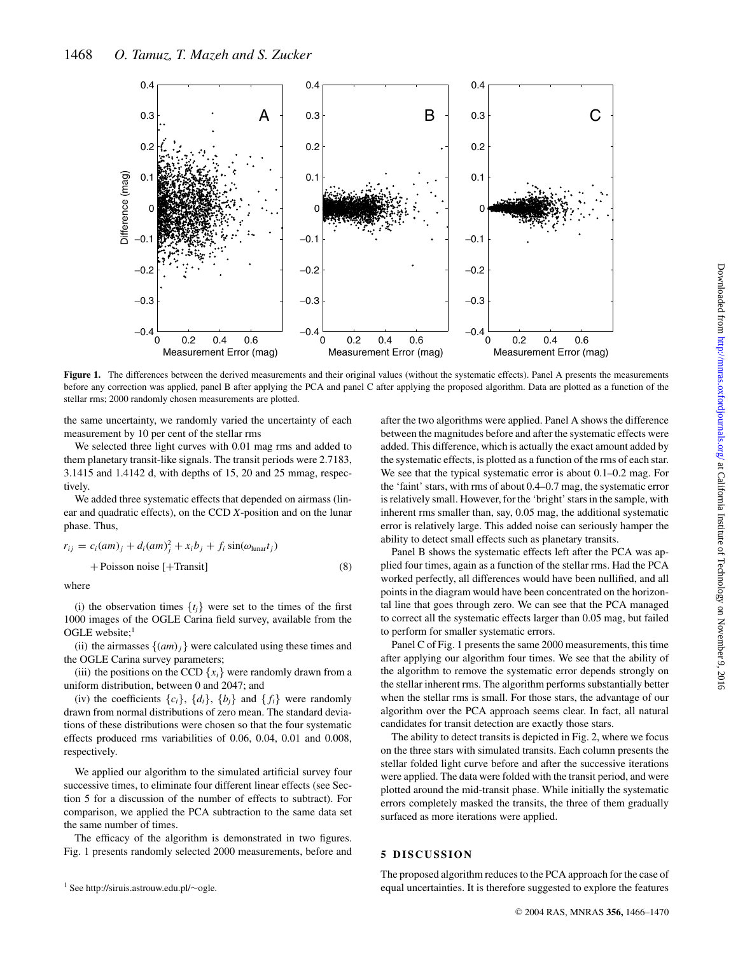

Figure 1. The differences between the derived measurements and their original values (without the systematic effects). Panel A presents the measurements before any correction was applied, panel B after applying the PCA and panel C after applying the proposed algorithm. Data are plotted as a function of the stellar rms; 2000 randomly chosen measurements are plotted.

the same uncertainty, we randomly varied the uncertainty of each measurement by 10 per cent of the stellar rms

We selected three light curves with 0.01 mag rms and added to them planetary transit-like signals. The transit periods were 2.7183, 3.1415 and 1.4142 d, with depths of 15, 20 and 25 mmag, respectively.

We added three systematic effects that depended on airmass (linear and quadratic effects), on the CCD *X*-position and on the lunar phase. Thus,

$$
r_{ij} = c_i(am)_j + d_i(am)_j^2 + x_ib_j + f_i \sin(\omega_{\text{lunart}j})
$$
  
+ Poisson noise [+Transit] (8)

where

(i) the observation times  $\{t_i\}$  were set to the times of the first 1000 images of the OGLE Carina field survey, available from the OGLE website;<sup>1</sup>

(ii) the airmasses  $\{(am)_i\}$  were calculated using these times and the OGLE Carina survey parameters;

(iii) the positions on the CCD  $\{x_i\}$  were randomly drawn from a uniform distribution, between 0 and 2047; and

(iv) the coefficients  $\{c_i\}$ ,  $\{d_i\}$ ,  $\{b_i\}$  and  $\{f_i\}$  were randomly drawn from normal distributions of zero mean. The standard deviations of these distributions were chosen so that the four systematic effects produced rms variabilities of 0.06, 0.04, 0.01 and 0.008, respectively.

We applied our algorithm to the simulated artificial survey four successive times, to eliminate four different linear effects (see Section 5 for a discussion of the number of effects to subtract). For comparison, we applied the PCA subtraction to the same data set the same number of times.

The efficacy of the algorithm is demonstrated in two figures. Fig. 1 presents randomly selected 2000 measurements, before and after the two algorithms were applied. Panel A shows the difference between the magnitudes before and after the systematic effects were added. This difference, which is actually the exact amount added by the systematic effects, is plotted as a function of the rms of each star. We see that the typical systematic error is about 0.1–0.2 mag. For the 'faint' stars, with rms of about 0.4–0.7 mag, the systematic error is relatively small. However, for the 'bright' stars in the sample, with inherent rms smaller than, say, 0.05 mag, the additional systematic error is relatively large. This added noise can seriously hamper the ability to detect small effects such as planetary transits.

Panel B shows the systematic effects left after the PCA was applied four times, again as a function of the stellar rms. Had the PCA worked perfectly, all differences would have been nullified, and all points in the diagram would have been concentrated on the horizontal line that goes through zero. We can see that the PCA managed to correct all the systematic effects larger than 0.05 mag, but failed to perform for smaller systematic errors.

Panel C of Fig. 1 presents the same 2000 measurements, this time after applying our algorithm four times. We see that the ability of the algorithm to remove the systematic error depends strongly on the stellar inherent rms. The algorithm performs substantially better when the stellar rms is small. For those stars, the advantage of our algorithm over the PCA approach seems clear. In fact, all natural candidates for transit detection are exactly those stars.

The ability to detect transits is depicted in Fig. 2, where we focus on the three stars with simulated transits. Each column presents the stellar folded light curve before and after the successive iterations were applied. The data were folded with the transit period, and were plotted around the mid-transit phase. While initially the systematic errors completely masked the transits, the three of them gradually surfaced as more iterations were applied.

### **5 DISCUSSION**

The proposed algorithm reduces to the PCA approach for the case of equal uncertainties. It is therefore suggested to explore the features

<sup>1</sup> See http://siruis.astrouw.edu.pl/∼ogle.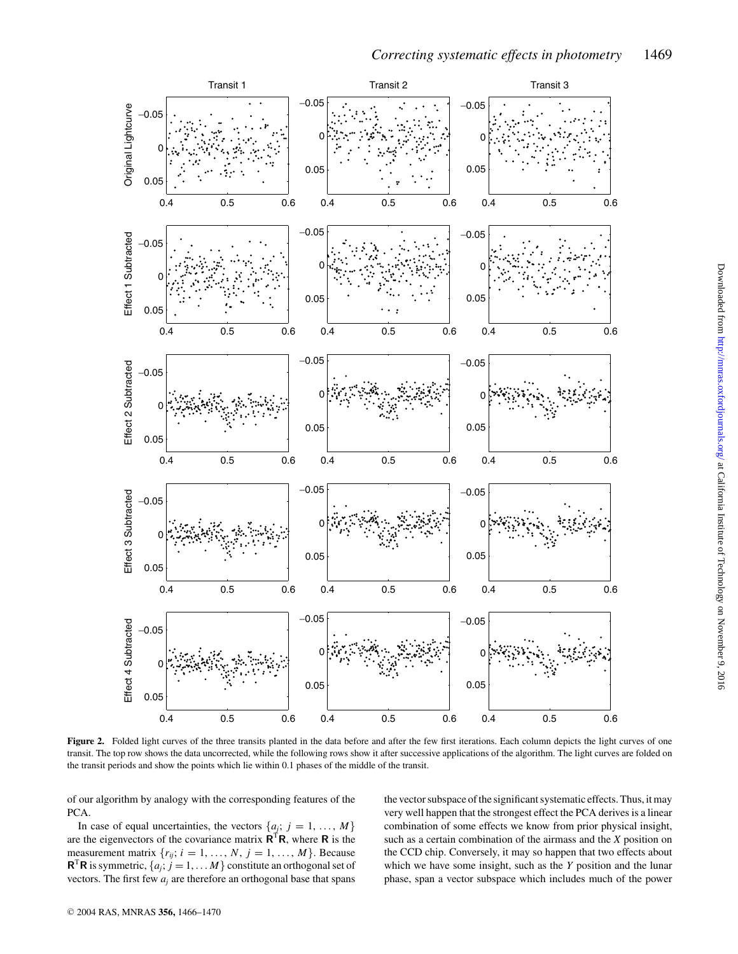

Figure 2. Folded light curves of the three transits planted in the data before and after the few first iterations. Each column depicts the light curves of one transit. The top row shows the data uncorrected, while the following rows show it after successive applications of the algorithm. The light curves are folded on the transit periods and show the points which lie within 0.1 phases of the middle of the transit.

of our algorithm by analogy with the corresponding features of the PCA.

In case of equal uncertainties, the vectors  $\{a_i; j = 1, ..., M\}$ are the eigenvectors of the covariance matrix  $R^{T}R$ , where R is the measurement matrix  $\{r_{ij}; i = 1, ..., N, j = 1, ..., M\}$ . Because  $\mathbf{R}^{\mathrm{T}}\mathbf{R}$  is symmetric,  $\{a_j; j = 1, \ldots M\}$  constitute an orthogonal set of vectors. The first few  $a_j$  are therefore an orthogonal base that spans

the vector subspace of the significant systematic effects. Thus, it may very well happen that the strongest effect the PCA derives is a linear combination of some effects we know from prior physical insight, such as a certain combination of the airmass and the *X* position on the CCD chip. Conversely, it may so happen that two effects about which we have some insight, such as the *Y* position and the lunar phase, span a vector subspace which includes much of the power